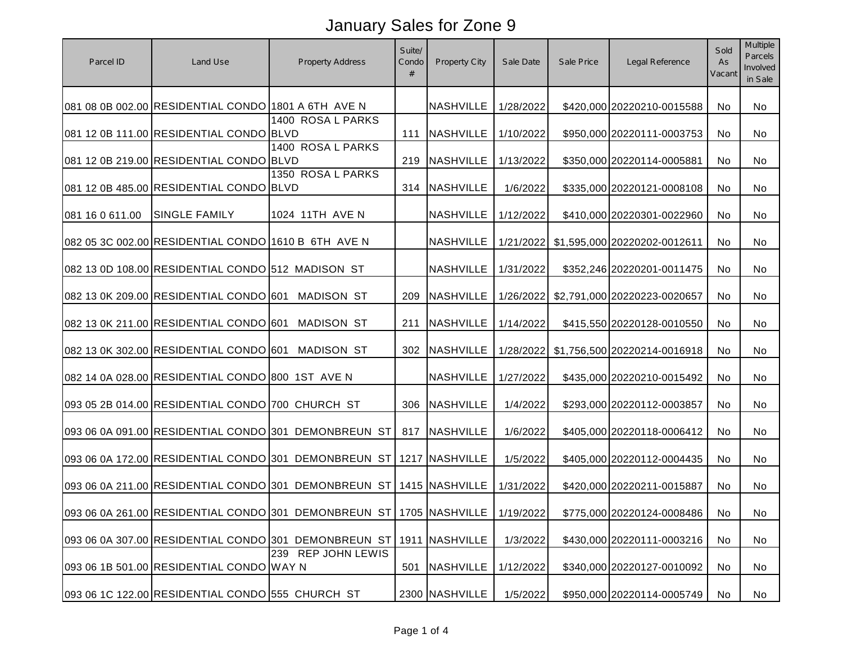| Parcel ID       | Land Use                                            | Property Address                                                              | Suite/<br>Condo<br># | Property City    | Sale Date | Sale Price | Legal Reference              | Sold<br>As<br>Vacant | Multiple<br>Parcels<br>Involved<br>in Sale |
|-----------------|-----------------------------------------------------|-------------------------------------------------------------------------------|----------------------|------------------|-----------|------------|------------------------------|----------------------|--------------------------------------------|
|                 | 081 08 0B 002.00 RESIDENTIAL CONDO 1801 A 6TH AVE N |                                                                               |                      | <b>NASHVILLE</b> | 1/28/2022 |            | \$420,000 20220210-0015588   | No                   | No                                         |
|                 | 081 12 0B 111.00 RESIDENTIAL CONDO BLVD             | 1400 ROSA L PARKS                                                             | 111                  | NASHVILLE        | 1/10/2022 |            | \$950,000 20220111-0003753   | No                   | No                                         |
|                 | 081 12 0B 219.00 RESIDENTIAL CONDO BLVD             | 1400 ROSA L PARKS                                                             |                      | 219 NASHVILLE    | 1/13/2022 |            | \$350,000 20220114-0005881   | No                   | No                                         |
|                 | 081 12 0B 485.00 RESIDENTIAL CONDO BLVD             | 1350 ROSA L PARKS                                                             |                      | 314   NASHVILLE  | 1/6/2022  |            | \$335,000 20220121-0008108   | No                   | No                                         |
| 081 16 0 611.00 | <b>SINGLE FAMILY</b>                                | 1024 11TH AVE N                                                               |                      | NASHVILLE        | 1/12/2022 |            | \$410,000 20220301-0022960   | No                   | No                                         |
|                 | 082 05 3C 002.00 RESIDENTIAL CONDO 1610 B 6TH AVE N |                                                                               |                      | <b>NASHVILLE</b> | 1/21/2022 |            | \$1,595,000 20220202-0012611 | No                   | No                                         |
|                 | 082 13 0D 108.00 RESIDENTIAL CONDO 512 MADISON ST   |                                                                               |                      | <b>NASHVILLE</b> | 1/31/2022 |            | \$352,246 20220201-0011475   | No                   | No                                         |
|                 | 082 13 0K 209.00 RESIDENTIAL CONDO 601              | <b>MADISON ST</b>                                                             | 209                  | <b>NASHVILLE</b> | 1/26/2022 |            | \$2,791,000 20220223-0020657 | No                   | No                                         |
|                 | 082 13 0K 211.00 RESIDENTIAL CONDO 601              | <b>MADISON ST</b>                                                             | 211                  | <b>NASHVILLE</b> | 1/14/2022 |            | \$415,550 20220128-0010550   | No                   | No                                         |
|                 | 082 13 0K 302.00 RESIDENTIAL CONDO 601              | <b>MADISON ST</b>                                                             | 302                  | <b>NASHVILLE</b> | 1/28/2022 |            | \$1,756,500 20220214-0016918 | No                   | <b>No</b>                                  |
|                 | 082 14 0A 028.00 RESIDENTIAL CONDO 800 1ST AVE N    |                                                                               |                      | <b>NASHVILLE</b> | 1/27/2022 |            | \$435,000 20220210-0015492   | No                   | No                                         |
|                 | 093 05 2B 014.00 RESIDENTIAL CONDO 700 CHURCH ST    |                                                                               |                      | 306 NASHVILLE    | 1/4/2022  |            | \$293,000 20220112-0003857   | No                   | <b>No</b>                                  |
|                 |                                                     | 093 06 0A 091.00 RESIDENTIAL CONDO 301 DEMONBREUN ST                          |                      | 817 NASHVILLE    | 1/6/2022  |            | \$405,000 20220118-0006412   | <b>No</b>            | No                                         |
|                 |                                                     | 093 06 0A 172.00 RESIDENTIAL CONDO 301 DEMONBREUN ST                          |                      | 1217 NASHVILLE   | 1/5/2022  |            | \$405,000 20220112-0004435   | No                   | No                                         |
|                 |                                                     | 093 06 0A 211.00 RESIDENTIAL CONDO 301 DEMONBREUN ST   1415 NASHVILLE         |                      |                  | 1/31/2022 |            | \$420,000 20220211-0015887   | No                   | No                                         |
|                 |                                                     | 093 06 0A 261.00 RESIDENTIAL CONDO 301 DEMONBREUN ST 1705 NASHVILLE 1/19/2022 |                      |                  |           |            | \$775,000 20220124-0008486   | No                   | No.                                        |
|                 |                                                     | 093 06 0A 307.00 RESIDENTIAL CONDO 301 DEMONBREUN ST                          |                      | 1911 NASHVILLE   | 1/3/2022  |            | \$430,000 20220111-0003216   | No                   | No                                         |
|                 | 093 06 1B 501.00 RESIDENTIAL CONDO WAY N            | 239 REP JOHN LEWIS                                                            | 501                  | NASHVILLE        | 1/12/2022 |            | \$340,000 20220127-0010092   | No                   | No                                         |
|                 | 093 06 1C 122.00 RESIDENTIAL CONDO 555 CHURCH ST    |                                                                               |                      | 2300 NASHVILLE   | 1/5/2022  |            | \$950,000 20220114-0005749   | No                   | No                                         |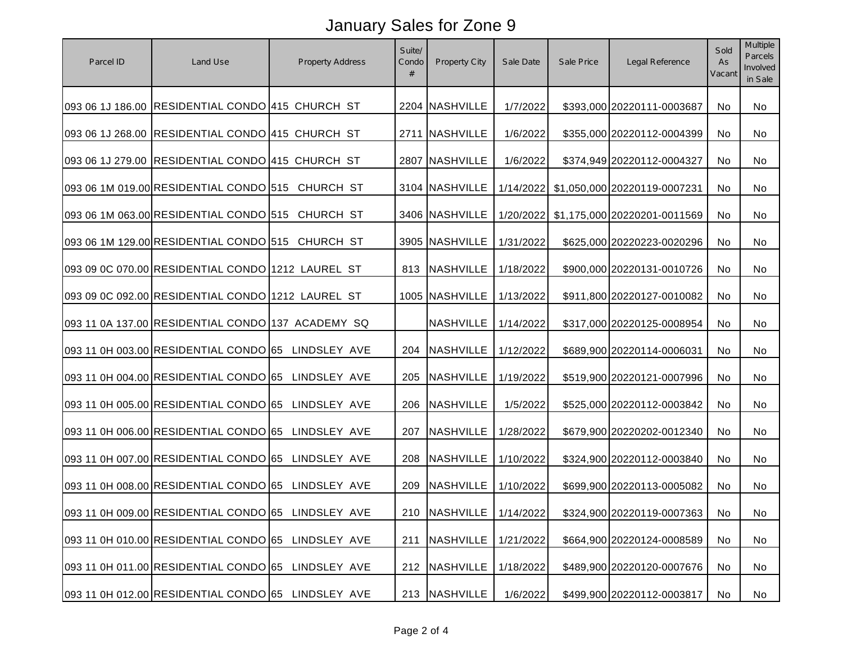| Parcel ID | Land Use                                           | Property Address | Suite/<br>Condo<br># | <b>Property City</b>        | Sale Date | Sale Price | Legal Reference              | Sold<br>As<br>Vacant | Multiple<br>Parcels<br>Involved<br>in Sale |
|-----------|----------------------------------------------------|------------------|----------------------|-----------------------------|-----------|------------|------------------------------|----------------------|--------------------------------------------|
|           | 093 06 1J 186.00 RESIDENTIAL CONDO 415 CHURCH ST   |                  |                      | 2204 NASHVILLE              | 1/7/2022  |            | \$393,000 20220111-0003687   | No                   | No                                         |
|           | 093 06 1J 268.00 RESIDENTIAL CONDO 415 CHURCH ST   |                  |                      | 2711 NASHVILLE              | 1/6/2022  |            | \$355,000 20220112-0004399   | No                   | No                                         |
|           | 093 06 1J 279.00 RESIDENTIAL CONDO 415 CHURCH ST   |                  |                      | 2807 NASHVILLE              | 1/6/2022  |            | \$374,949 20220112-0004327   | No                   | No                                         |
|           | 093 06 1M 019.00 RESIDENTIAL CONDO 515 CHURCH ST   |                  |                      | 3104 NASHVILLE              | 1/14/2022 |            | \$1,050,000 20220119-0007231 | No                   | No                                         |
|           | 093 06 1M 063.00 RESIDENTIAL CONDO 515 CHURCH ST   |                  |                      | 3406 NASHVILLE              | 1/20/2022 |            | \$1,175,000 20220201-0011569 | No.                  | No                                         |
|           | 093 06 1M 129.00 RESIDENTIAL CONDO 515 CHURCH ST   |                  |                      | 3905 NASHVILLE              | 1/31/2022 |            | \$625,000 20220223-0020296   | No.                  | No                                         |
|           | 093 09 0C 070.00 RESIDENTIAL CONDO 1212 LAUREL ST  |                  |                      | 813 NASHVILLE               | 1/18/2022 |            | \$900,000 20220131-0010726   | No                   | No                                         |
|           | 093 09 0C 092.00 RESIDENTIAL CONDO 1212 LAUREL ST  |                  |                      | 1005 NASHVILLE              | 1/13/2022 |            | \$911,800 20220127-0010082   | No                   | No                                         |
|           | 093 11 0A 137.00 RESIDENTIAL CONDO 137 ACADEMY SQ  |                  |                      | <b>NASHVILLE</b>            | 1/14/2022 |            | \$317,000 20220125-0008954   | No                   | No                                         |
|           | 093 11 0H 003.00 RESIDENTIAL CONDO 65 LINDSLEY AVE |                  | 204                  | <b>NASHVILLE</b>            | 1/12/2022 |            | \$689,900 20220114-0006031   | No                   | No                                         |
|           | 093 11 0H 004.00 RESIDENTIAL CONDO 65 LINDSLEY AVE |                  |                      | 205 NASHVILLE               | 1/19/2022 |            | \$519,900 20220121-0007996   | No                   | No                                         |
|           | 093 11 0H 005.00 RESIDENTIAL CONDO 65 LINDSLEY AVE |                  |                      | 206 NASHVILLE               | 1/5/2022  |            | \$525,000 20220112-0003842   | No                   | No                                         |
|           | 093 11 0H 006.00 RESIDENTIAL CONDO 65 LINDSLEY AVE |                  |                      | 207 NASHVILLE               | 1/28/2022 |            | \$679,900 20220202-0012340   | No.                  | No                                         |
|           | 093 11 0H 007.00 RESIDENTIAL CONDO 65 LINDSLEY AVE |                  |                      | 208 NASHVILLE               | 1/10/2022 |            | \$324,900 20220112-0003840   | No.                  | No                                         |
|           | 093 11 0H 008.00 RESIDENTIAL CONDO 65 LINDSLEY AVE |                  |                      | 209   NASHVILLE             | 1/10/2022 |            | \$699,900 20220113-0005082   | No                   | No                                         |
|           | 093 11 0H 009.00 RESIDENTIAL CONDO 65 LINDSLEY AVE |                  |                      | 210   NASHVILLE   1/14/2022 |           |            | \$324,900 20220119-0007363   | No                   | No                                         |
|           | 093 11 0H 010.00 RESIDENTIAL CONDO 65 LINDSLEY AVE |                  | 211                  | <b>NASHVILLE</b>            | 1/21/2022 |            | \$664,900 20220124-0008589   | No                   | No                                         |
|           | 093 11 0H 011.00 RESIDENTIAL CONDO 65 LINDSLEY AVE |                  |                      | 212 NASHVILLE               | 1/18/2022 |            | \$489,900 20220120-0007676   | No                   | No                                         |
|           | 093 11 0H 012.00 RESIDENTIAL CONDO 65 LINDSLEY AVE |                  |                      | 213 NASHVILLE               | 1/6/2022  |            | \$499,900 20220112-0003817   | No                   | No                                         |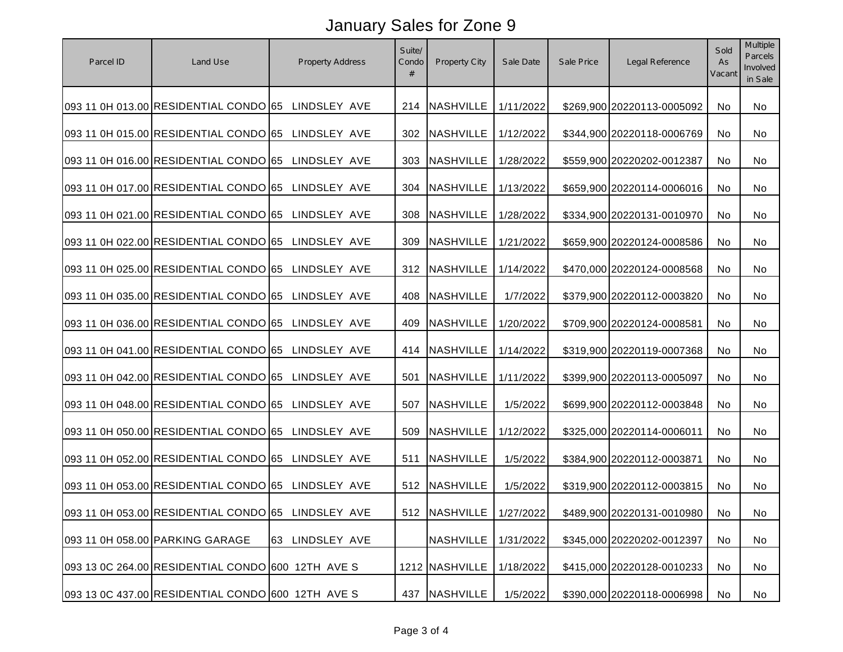| Parcel ID | Land Use                                           | <b>Property Address</b> | Suite/<br>Condo<br># | Property City               | Sale Date | Sale Price | Legal Reference            | Sold<br>As<br>Vacan | Multiple<br>Parcels<br>Involved<br>in Sale |
|-----------|----------------------------------------------------|-------------------------|----------------------|-----------------------------|-----------|------------|----------------------------|---------------------|--------------------------------------------|
|           | 093 11 0H 013.00 RESIDENTIAL CONDO 65 LINDSLEY AVE |                         |                      | 214 NASHVILLE               | 1/11/2022 |            | \$269,900 20220113-0005092 | No                  | No                                         |
|           | 093 11 0H 015.00 RESIDENTIAL CONDO 65 LINDSLEY AVE |                         |                      | 302 NASHVILLE               | 1/12/2022 |            | \$344,900 20220118-0006769 | No                  | No                                         |
|           | 093 11 0H 016.00 RESIDENTIAL CONDO 65 LINDSLEY AVE |                         |                      | 303 NASHVILLE               | 1/28/2022 |            | \$559,900 20220202-0012387 | No                  | No                                         |
|           | 093 11 0H 017.00 RESIDENTIAL CONDO 65 LINDSLEY AVE |                         |                      | 304 NASHVILLE               | 1/13/2022 |            | \$659,900 20220114-0006016 | No.                 | No                                         |
|           | 093 11 0H 021.00 RESIDENTIAL CONDO 65 LINDSLEY AVE |                         |                      | 308 NASHVILLE               | 1/28/2022 |            | \$334,900 20220131-0010970 | No.                 | No                                         |
|           | 093 11 0H 022.00 RESIDENTIAL CONDO 65 LINDSLEY AVE |                         |                      | 309 NASHVILLE               | 1/21/2022 |            | \$659,900 20220124-0008586 | No                  | No                                         |
|           | 093 11 0H 025.00 RESIDENTIAL CONDO 65 LINDSLEY AVE |                         |                      | 312 NASHVILLE               | 1/14/2022 |            | \$470,000 20220124-0008568 | No                  | No                                         |
|           | 093 11 0H 035.00 RESIDENTIAL CONDO 65 LINDSLEY AVE |                         | 408                  | <b>NASHVILLE</b>            | 1/7/2022  |            | \$379,900 20220112-0003820 | No                  | No                                         |
|           | 093 11 0H 036.00 RESIDENTIAL CONDO 65 LINDSLEY AVE |                         | 409                  | <b>NASHVILLE</b>            | 1/20/2022 |            | \$709,900 20220124-0008581 | No                  | No                                         |
|           | 093 11 0H 041.00 RESIDENTIAL CONDO 65 LINDSLEY AVE |                         |                      | 414 NASHVILLE               | 1/14/2022 |            | \$319,900 20220119-0007368 | No                  | No                                         |
|           | 093 11 0H 042.00 RESIDENTIAL CONDO 65 LINDSLEY AVE |                         | 501                  | <b>NASHVILLE</b>            | 1/11/2022 |            | \$399,900 20220113-0005097 | No                  | No                                         |
|           | 093 11 0H 048.00 RESIDENTIAL CONDO 65 LINDSLEY AVE |                         |                      | 507 NASHVILLE               | 1/5/2022  |            | \$699,900 20220112-0003848 | No.                 | No                                         |
|           | 093 11 0H 050.00 RESIDENTIAL CONDO 65 LINDSLEY AVE |                         |                      | 509 NASHVILLE               | 1/12/2022 |            | \$325,000 20220114-0006011 | No.                 | No                                         |
|           | 093 11 0H 052.00 RESIDENTIAL CONDO 65 LINDSLEY AVE |                         | 511                  | <b>NASHVILLE</b>            | 1/5/2022  |            | \$384,900 20220112-0003871 | No                  | No                                         |
|           | 093 11 0H 053.00 RESIDENTIAL CONDO 65 LINDSLEY AVE |                         |                      | 512 NASHVILLE               | 1/5/2022  |            | \$319,900 20220112-0003815 | No                  | No                                         |
|           | 093 11 0H 053.00 RESIDENTIAL CONDO 65 LINDSLEY AVE |                         |                      | 512   NASHVILLE   1/27/2022 |           |            | \$489,900 20220131-0010980 | No.                 | No                                         |
|           | 093 11 0H 058.00 PARKING GARAGE                    | 63 LINDSLEY AVE         |                      | <b>NASHVILLE</b>            | 1/31/2022 |            | \$345,000 20220202-0012397 | No                  | No                                         |
|           | 093 13 0C 264.00 RESIDENTIAL CONDO 600 12TH AVE S  |                         |                      | 1212 NASHVILLE              | 1/18/2022 |            | \$415,000 20220128-0010233 | No                  | No                                         |
|           | 093 13 0C 437.00 RESIDENTIAL CONDO 600 12TH AVE S  |                         |                      | 437 NASHVILLE               | 1/5/2022  |            | \$390,000 20220118-0006998 | No                  | No                                         |